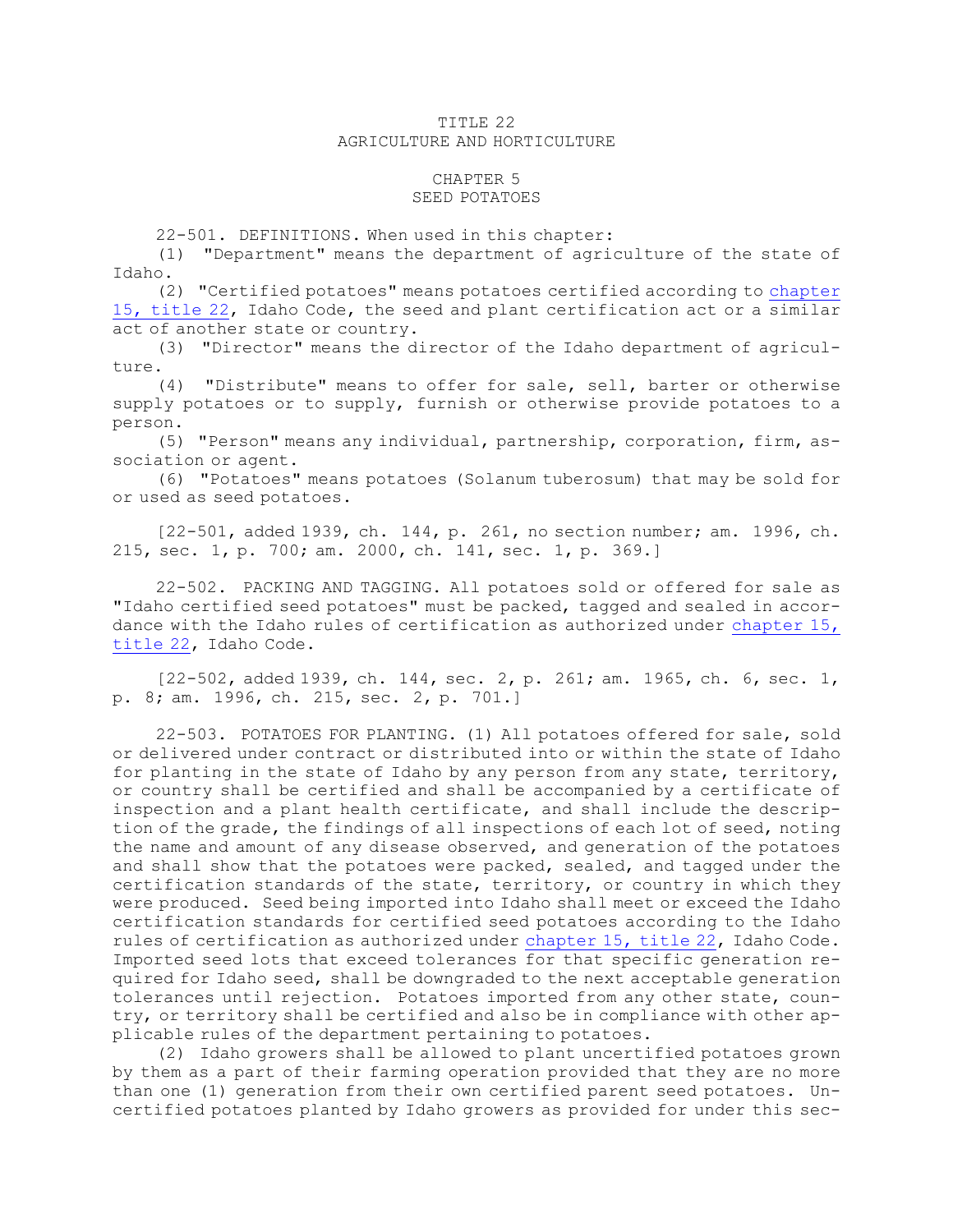## TITLE 22 AGRICULTURE AND HORTICULTURE

## CHAPTER 5

## SEED POTATOES

22-501. DEFINITIONS. When used in this chapter:

(1) "Department" means the department of agriculture of the state of Idaho.

(2) "Certified potatoes" means potatoes certified according to [chapter](https://legislature.idaho.gov/statutesrules/idstat/Title22/T22CH15) 15, [title](https://legislature.idaho.gov/statutesrules/idstat/Title22/T22CH15) 22, Idaho Code, the seed and plant certification act or <sup>a</sup> similar act of another state or country.

(3) "Director" means the director of the Idaho department of agriculture.

(4) "Distribute" means to offer for sale, sell, barter or otherwise supply potatoes or to supply, furnish or otherwise provide potatoes to <sup>a</sup> person.

(5) "Person" means any individual, partnership, corporation, firm, association or agent.

(6) "Potatoes" means potatoes (Solanum tuberosum) that may be sold for or used as seed potatoes.

[22-501, added 1939, ch. 144, p. 261, no section number; am. 1996, ch. 215, sec. 1, p. 700; am. 2000, ch. 141, sec. 1, p. 369.]

22-502. PACKING AND TAGGING. All potatoes sold or offered for sale as "Idaho certified seed potatoes" must be packed, tagged and sealed in accordance with the Idaho rules of certification as authorized under [chapter](https://legislature.idaho.gov/statutesrules/idstat/Title22/T22CH15) 15, [title](https://legislature.idaho.gov/statutesrules/idstat/Title22/T22CH15) 22, Idaho Code.

[22-502, added 1939, ch. 144, sec. 2, p. 261; am. 1965, ch. 6, sec. 1, p. 8; am. 1996, ch. 215, sec. 2, p. 701.]

22-503. POTATOES FOR PLANTING. (1) All potatoes offered for sale, sold or delivered under contract or distributed into or within the state of Idaho for planting in the state of Idaho by any person from any state, territory, or country shall be certified and shall be accompanied by <sup>a</sup> certificate of inspection and <sup>a</sup> plant health certificate, and shall include the description of the grade, the findings of all inspections of each lot of seed, noting the name and amount of any disease observed, and generation of the potatoes and shall show that the potatoes were packed, sealed, and tagged under the certification standards of the state, territory, or country in which they were produced. Seed being imported into Idaho shall meet or exceed the Idaho certification standards for certified seed potatoes according to the Idaho rules of certification as authorized under [chapter](https://legislature.idaho.gov/statutesrules/idstat/Title22/T22CH15) 15, title 22, Idaho Code. Imported seed lots that exceed tolerances for that specific generation required for Idaho seed, shall be downgraded to the next acceptable generation tolerances until rejection. Potatoes imported from any other state, country, or territory shall be certified and also be in compliance with other applicable rules of the department pertaining to potatoes.

(2) Idaho growers shall be allowed to plant uncertified potatoes grown by them as <sup>a</sup> part of their farming operation provided that they are no more than one (1) generation from their own certified parent seed potatoes. Uncertified potatoes planted by Idaho growers as provided for under this sec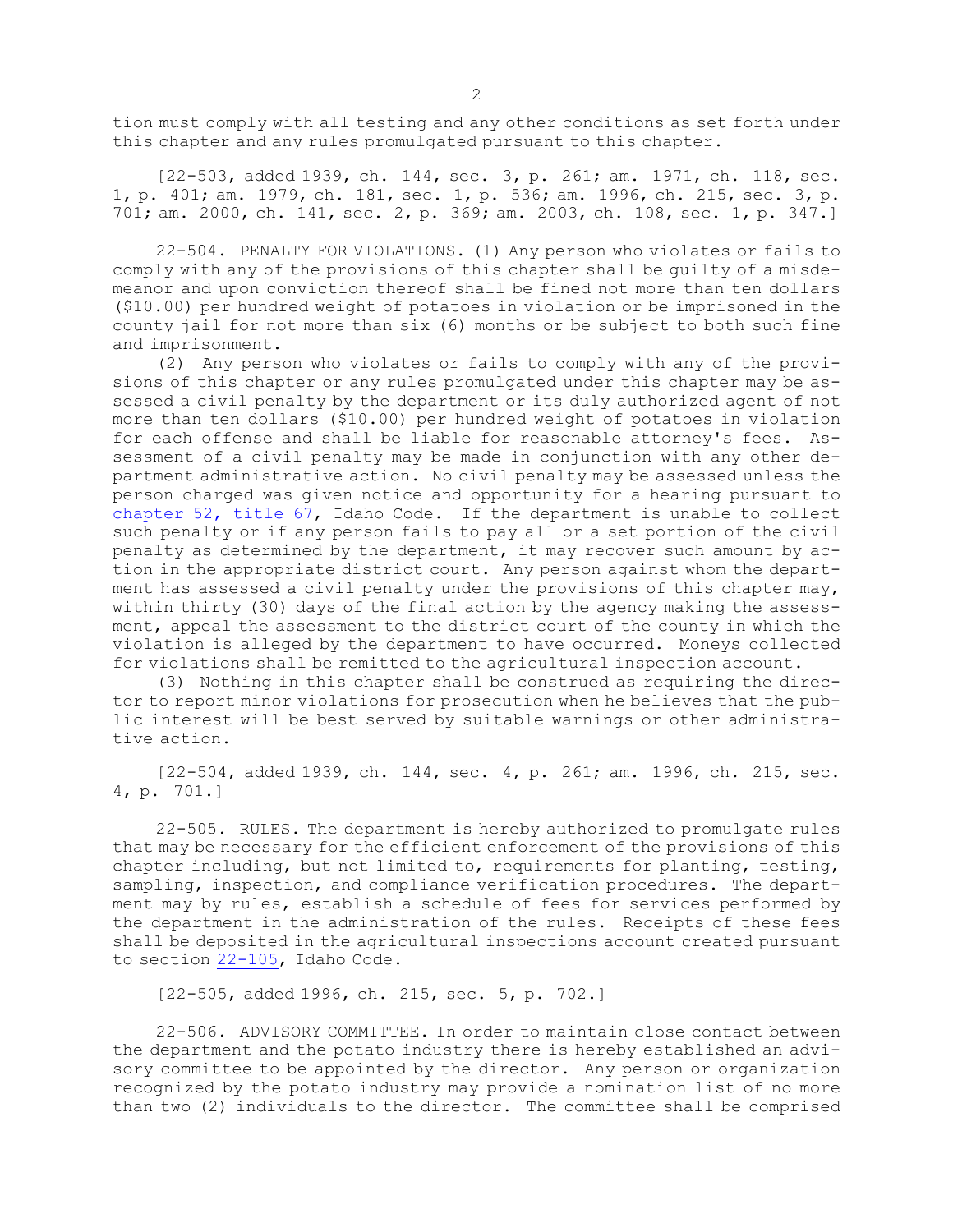tion must comply with all testing and any other conditions as set forth under this chapter and any rules promulgated pursuant to this chapter.

[22-503, added 1939, ch. 144, sec. 3, p. 261; am. 1971, ch. 118, sec. 1, p. 401; am. 1979, ch. 181, sec. 1, p. 536; am. 1996, ch. 215, sec. 3, p. 701; am. 2000, ch. 141, sec. 2, p. 369; am. 2003, ch. 108, sec. 1, p. 347.]

22-504. PENALTY FOR VIOLATIONS. (1) Any person who violates or fails to comply with any of the provisions of this chapter shall be guilty of <sup>a</sup> misdemeanor and upon conviction thereof shall be fined not more than ten dollars (\$10.00) per hundred weight of potatoes in violation or be imprisoned in the county jail for not more than six (6) months or be subject to both such fine and imprisonment.

(2) Any person who violates or fails to comply with any of the provisions of this chapter or any rules promulgated under this chapter may be assessed <sup>a</sup> civil penalty by the department or its duly authorized agent of not more than ten dollars (\$10.00) per hundred weight of potatoes in violation for each offense and shall be liable for reasonable attorney's fees. Assessment of <sup>a</sup> civil penalty may be made in conjunction with any other department administrative action. No civil penalty may be assessed unless the person charged was given notice and opportunity for <sup>a</sup> hearing pursuant to [chapter](https://legislature.idaho.gov/statutesrules/idstat/Title67/T67CH52) 52, title 67, Idaho Code. If the department is unable to collect such penalty or if any person fails to pay all or a set portion of the civil penalty as determined by the department, it may recover such amount by action in the appropriate district court. Any person against whom the department has assessed <sup>a</sup> civil penalty under the provisions of this chapter may, within thirty (30) days of the final action by the agency making the assessment, appeal the assessment to the district court of the county in which the violation is alleged by the department to have occurred. Moneys collected for violations shall be remitted to the agricultural inspection account.

(3) Nothing in this chapter shall be construed as requiring the director to report minor violations for prosecution when he believes that the public interest will be best served by suitable warnings or other administrative action.

[22-504, added 1939, ch. 144, sec. 4, p. 261; am. 1996, ch. 215, sec. 4, p. 701.]

22-505. RULES. The department is hereby authorized to promulgate rules that may be necessary for the efficient enforcement of the provisions of this chapter including, but not limited to, requirements for planting, testing, sampling, inspection, and compliance verification procedures. The department may by rules, establish <sup>a</sup> schedule of fees for services performed by the department in the administration of the rules. Receipts of these fees shall be deposited in the agricultural inspections account created pursuant to section [22-105](https://legislature.idaho.gov/statutesrules/idstat/Title22/T22CH1/SECT22-105), Idaho Code.

[22-505, added 1996, ch. 215, sec. 5, p. 702.]

22-506. ADVISORY COMMITTEE. In order to maintain close contact between the department and the potato industry there is hereby established an advisory committee to be appointed by the director. Any person or organization recognized by the potato industry may provide <sup>a</sup> nomination list of no more than two (2) individuals to the director. The committee shall be comprised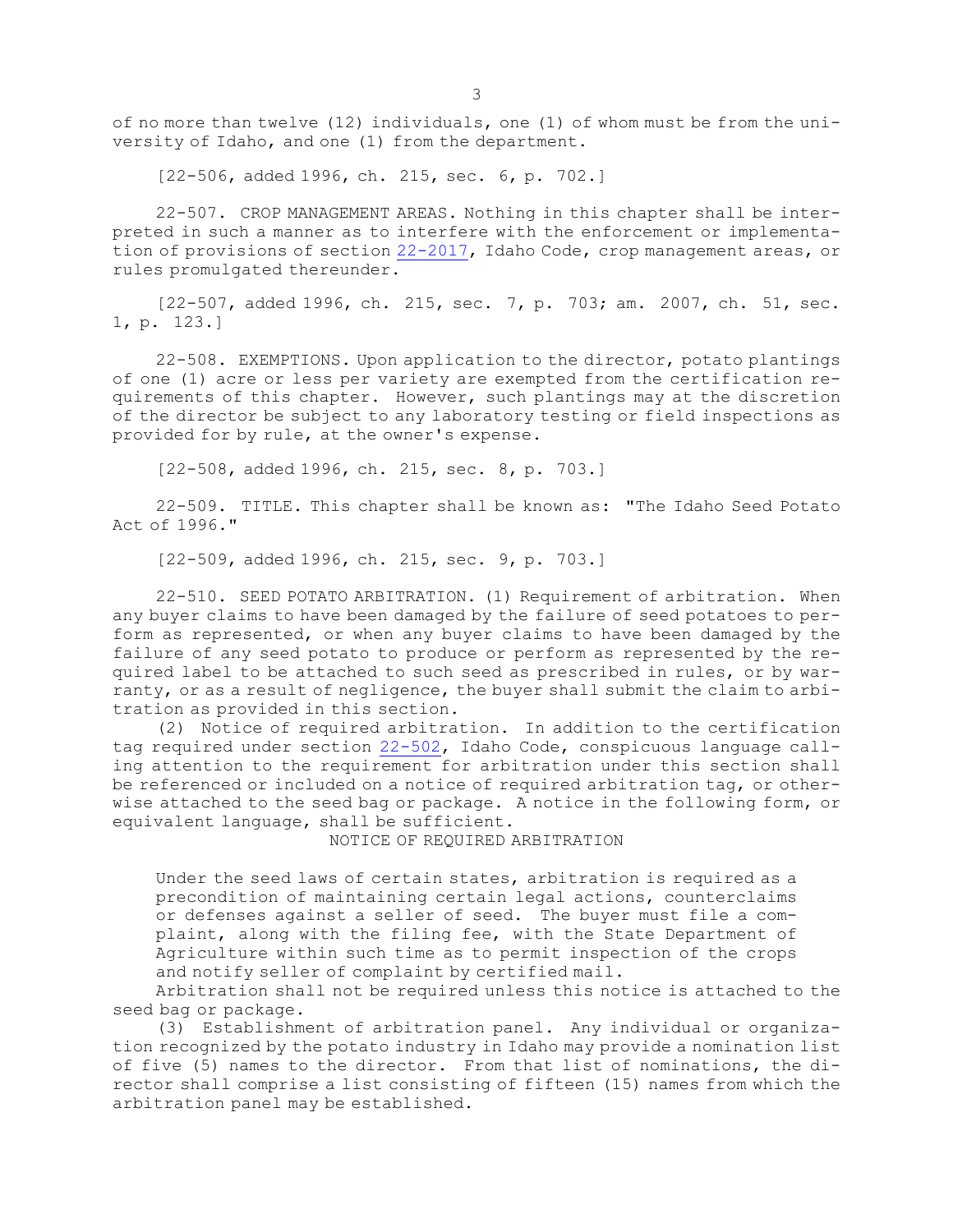of no more than twelve (12) individuals, one (1) of whom must be from the university of Idaho, and one (1) from the department.

[22-506, added 1996, ch. 215, sec. 6, p. 702.]

22-507. CROP MANAGEMENT AREAS. Nothing in this chapter shall be interpreted in such <sup>a</sup> manner as to interfere with the enforcement or implementation of provisions of section [22-2017](https://legislature.idaho.gov/statutesrules/idstat/Title22/T22CH20/SECT22-2017), Idaho Code, crop management areas, or rules promulgated thereunder.

[22-507, added 1996, ch. 215, sec. 7, p. 703; am. 2007, ch. 51, sec. 1, p. 123.]

22-508. EXEMPTIONS. Upon application to the director, potato plantings of one (1) acre or less per variety are exempted from the certification requirements of this chapter. However, such plantings may at the discretion of the director be subject to any laboratory testing or field inspections as provided for by rule, at the owner's expense.

[22-508, added 1996, ch. 215, sec. 8, p. 703.]

22-509. TITLE. This chapter shall be known as: "The Idaho Seed Potato Act of 1996."

[22-509, added 1996, ch. 215, sec. 9, p. 703.]

22-510. SEED POTATO ARBITRATION. (1) Requirement of arbitration. When any buyer claims to have been damaged by the failure of seed potatoes to perform as represented, or when any buyer claims to have been damaged by the failure of any seed potato to produce or perform as represented by the required label to be attached to such seed as prescribed in rules, or by warranty, or as <sup>a</sup> result of negligence, the buyer shall submit the claim to arbitration as provided in this section.

(2) Notice of required arbitration. In addition to the certification tag required under section [22-502](https://legislature.idaho.gov/statutesrules/idstat/Title22/T22CH5/SECT22-502), Idaho Code, conspicuous language calling attention to the requirement for arbitration under this section shall be referenced or included on <sup>a</sup> notice of required arbitration tag, or otherwise attached to the seed bag or package. <sup>A</sup> notice in the following form, or equivalent language, shall be sufficient.

NOTICE OF REQUIRED ARBITRATION

Under the seed laws of certain states, arbitration is required as <sup>a</sup> precondition of maintaining certain legal actions, counterclaims or defenses against <sup>a</sup> seller of seed. The buyer must file <sup>a</sup> complaint, along with the filing fee, with the State Department of Agriculture within such time as to permit inspection of the crops and notify seller of complaint by certified mail.

Arbitration shall not be required unless this notice is attached to the seed bag or package.

(3) Establishment of arbitration panel. Any individual or organization recognized by the potato industry in Idaho may provide <sup>a</sup> nomination list of five (5) names to the director. From that list of nominations, the director shall comprise <sup>a</sup> list consisting of fifteen (15) names from which the arbitration panel may be established.